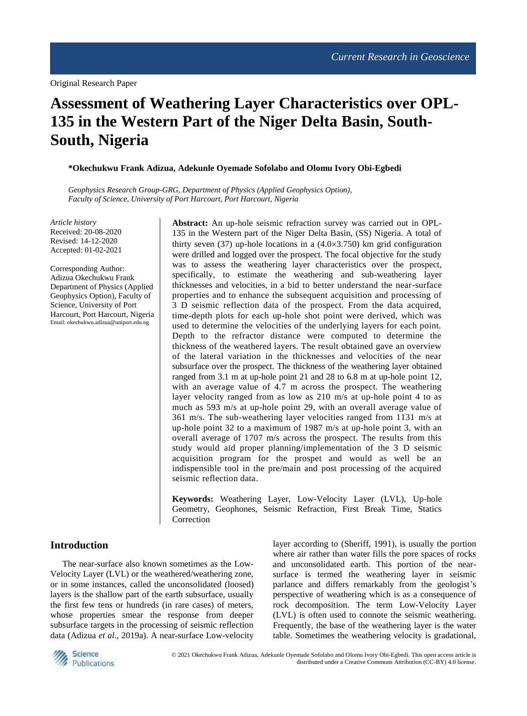Original Research Paper

# **Assessment of Weathering Layer Characteristics over OPL-135 in the Western Part of the Niger Delta Basin, South-South, Nigeria**

**\*Okechukwu Frank Adizua, Adekunle Oyemade Sofolabo and Olomu Ivory Obi-Egbedi**

*Geophysics Research Group-GRG, Department of Physics (Applied Geophysics Option), Faculty of Science, University of Port Harcourt, Port Harcourt, Nigeria*

*Article history* Received: 20-08-2020 Revised: 14-12-2020 Accepted: 01-02-2021

Corresponding Author: Adizua Okechukwu Frank Department of Physics (Applied Geophysics Option), Faculty of Science, University of Port Harcourt, Port Harcourt, Nigeria Email[: okechukwu.adizua@uniport.edu.ng](mailto:okechukwu.adizua@uniport.edu.ng)

**Abstract:** An up-hole seismic refraction survey was carried out in OPL-135 in the Western part of the Niger Delta Basin, (SS) Nigeria. A total of thirty seven  $(37)$  up-hole locations in a  $(4.0 \times 3.750)$  km grid configuration were drilled and logged over the prospect. The focal objective for the study was to assess the weathering layer characteristics over the prospect, specifically, to estimate the weathering and sub-weathering layer thicknesses and velocities, in a bid to better understand the near-surface properties and to enhance the subsequent acquisition and processing of 3 D seismic reflection data of the prospect. From the data acquired, time-depth plots for each up-hole shot point were derived, which was used to determine the velocities of the underlying layers for each point. Depth to the refractor distance were computed to determine the thickness of the weathered layers. The result obtained gave an overview of the lateral variation in the thicknesses and velocities of the near subsurface over the prospect. The thickness of the weathering layer obtained ranged from 3.1 m at up-hole point 21 and 28 to 6.8 m at up-hole point 12, with an average value of 4.7 m across the prospect. The weathering layer velocity ranged from as low as 210 m/s at up-hole point 4 to as much as 593 m/s at up-hole point 29, with an overall average value of 361 m/s. The sub-weathering layer velocities ranged from 1131 m/s at up-hole point 32 to a maximum of 1987 m/s at up-hole point 3, with an overall average of 1707 m/s across the prospect. The results from this study would aid proper planning/implementation of the 3 D seismic acquisition program for the prospet and would as well be an indispensible tool in the pre/main and post processing of the acquired seismic reflection data.

**Keywords:** Weathering Layer, Low-Velocity Layer (LVL), Up-hole Geometry, Geophones, Seismic Refraction, First Break Time, Statics Correction

#### **Introduction**

The near-surface also known sometimes as the Low-Velocity Layer (LVL) or the weathered/weathering zone, or in some instances, called the unconsolidated (loosed) layers is the shallow part of the earth subsurface, usually the first few tens or hundreds (in rare cases) of meters, whose properties smear the response from deeper subsurface targets in the processing of seismic reflection data (Adizua *et al*., 2019a). A near-surface Low-velocity

layer according to (Sheriff, 1991), is usually the portion where air rather than water fills the pore spaces of rocks and unconsolidated earth. This portion of the nearsurface is termed the weathering layer in seismic parlance and differs remarkably from the geologist's perspective of weathering which is as a consequence of rock decomposition. The term Low-Velocity Layer (LVL) is often used to connote the seismic weathering. Frequently, the base of the weathering layer is the water table. Sometimes the weathering velocity is gradational,

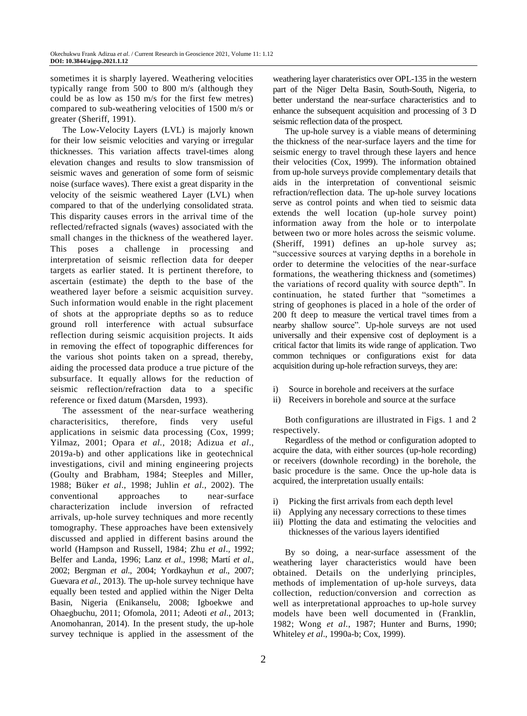sometimes it is sharply layered. Weathering velocities typically range from 500 to 800 m/s (although they could be as low as 150 m/s for the first few metres) compared to sub-weathering velocities of 1500 m/s or greater (Sheriff, 1991).

The Low-Velocity Layers (LVL) is majorly known for their low seismic velocities and varying or irregular thicknesses. This variation affects travel-times along elevation changes and results to slow transmission of seismic waves and generation of some form of seismic noise (surface waves). There exist a great disparity in the velocity of the seismic weathered Layer (LVL) when compared to that of the underlying consolidated strata. This disparity causes errors in the arrival time of the reflected/refracted signals (waves) associated with the small changes in the thickness of the weathered layer. This poses a challenge in processing and interpretation of seismic reflection data for deeper targets as earlier stated. It is pertinent therefore, to ascertain (estimate) the depth to the base of the weathered layer before a seismic acquisition survey. Such information would enable in the right placement of shots at the appropriate depths so as to reduce ground roll interference with actual subsurface reflection during seismic acquisition projects. It aids in removing the effect of topographic differences for the various shot points taken on a spread, thereby, aiding the processed data produce a true picture of the subsurface. It equally allows for the reduction of seismic reflection/refraction data to a specific reference or fixed datum (Marsden, 1993).

The assessment of the near-surface weathering characterisitics, therefore, finds very useful applications in seismic data processing (Cox, 1999; Yilmaz, 2001; Opara *et al.*, 2018; Adizua *et al*., 2019a-b) and other applications like in geotechnical investigations, civil and mining engineering projects (Goulty and Brabham, 1984; Steeples and Miller, 1988; Büker *et al*., 1998; Juhlin *et al*., 2002). The conventional approaches to near-surface characterization include inversion of refracted arrivals, up-hole survey techniques and more recently tomography. These approaches have been extensively discussed and applied in different basins around the world (Hampson and Russell, 1984; Zhu *et al*., 1992; Belfer and Landa, 1996; Lanz *et al*., 1998; Martí *et al*., 2002; Bergman *et al*., 2004; Yordkayhun *et al*., 2007; Guevara *et al*., 2013). The up-hole survey technique have equally been tested and applied within the Niger Delta Basin, Nigeria (Enikanselu, 2008; Igboekwe and Ohaegbuchu, 2011; Ofomola, 2011; Adeoti *et al*., 2013; Anomohanran, 2014). In the present study, the up-hole survey technique is applied in the assessment of the

weathering layer charateristics over OPL-135 in the western part of the Niger Delta Basin, South-South, Nigeria, to better understand the near-surface characteristics and to enhance the subsequent acquisition and processing of 3 D seismic reflection data of the prospect.

The up-hole survey is a viable means of determining the thickness of the near-surface layers and the time for seismic energy to travel through these layers and hence their velocities (Cox, 1999). The information obtained from up-hole surveys provide complementary details that aids in the interpretation of conventional seismic refraction/reflection data. The up-hole survey locations serve as control points and when tied to seismic data extends the well location (up-hole survey point) information away from the hole or to interpolate between two or more holes across the seismic volume. (Sheriff, 1991) defines an up-hole survey as; "successive sources at varying depths in a borehole in order to determine the velocities of the near-surface formations, the weathering thickness and (sometimes) the variations of record quality with source depth". In continuation, he stated further that "sometimes a string of geophones is placed in a hole of the order of 200 ft deep to measure the vertical travel times from a nearby shallow source". Up-hole surveys are not used universally and their expensive cost of deployment is a critical factor that limits its wide range of application. Two common techniques or configurations exist for data acquisition during up-hole refraction surveys, they are:

- i) Source in borehole and receivers at the surface
- ii) Receivers in borehole and source at the surface

Both configurations are illustrated in Figs. 1 and 2 respectively.

Regardless of the method or configuration adopted to acquire the data, with either sources (up-hole recording) or receivers (downhole recording) in the borehole, the basic procedure is the same. Once the up-hole data is acquired, the interpretation usually entails:

- i) Picking the first arrivals from each depth level
- ii) Applying any necessary corrections to these times
- iii) Plotting the data and estimating the velocities and thicknesses of the various layers identified

By so doing, a near-surface assessment of the weathering layer characteristics would have been obtained. Details on the underlying principles, methods of implementation of up-hole surveys, data collection, reduction/conversion and correction as well as interpretational approaches to up-hole survey models have been well documented in (Franklin, 1982; Wong *et al*., 1987; Hunter and Burns, 1990; Whiteley *et al*., 1990a-b; Cox, 1999).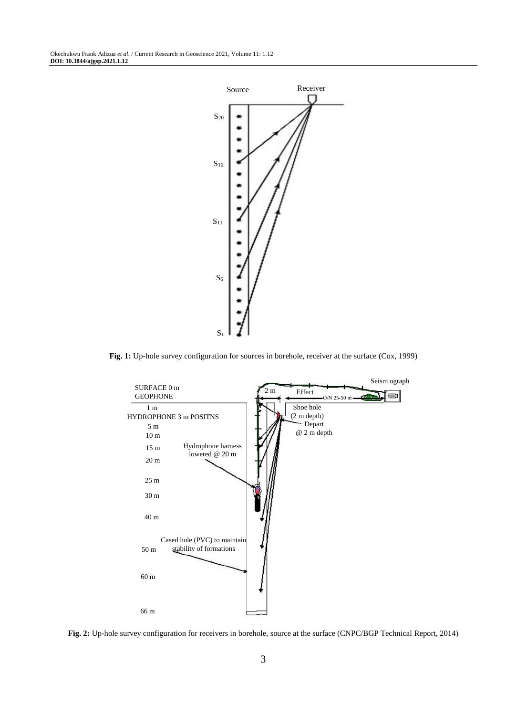

**Fig. 1:** Up-hole survey configuration for sources in borehole, receiver at the surface (Cox, 1999)



**Fig. 2:** Up-hole survey configuration for receivers in borehole, source at the surface (CNPC/BGP Technical Report, 2014)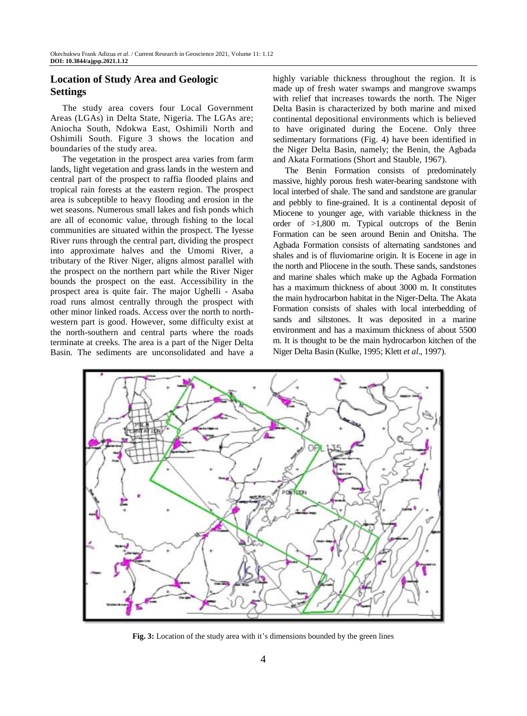# **Location of Study Area and Geologic Settings**

The study area covers four Local Government Areas (LGAs) in Delta State, Nigeria. The LGAs are; Aniocha South, Ndokwa East, Oshimili North and Oshimili South. Figure 3 shows the location and boundaries of the study area.

The vegetation in the prospect area varies from farm lands, light vegetation and grass lands in the western and central part of the prospect to raffia flooded plains and tropical rain forests at the eastern region. The prospect area is subceptible to heavy flooding and erosion in the wet seasons. Numerous small lakes and fish ponds which are all of economic value, through fishing to the local communities are situated within the prospect. The Iyesse River runs through the central part, dividing the prospect into approximate halves and the Umomi River, a tributary of the River Niger, aligns almost parallel with the prospect on the northern part while the River Niger bounds the prospect on the east. Accessibility in the prospect area is quite fair. The major Ughelli - Asaba road runs almost centrally through the prospect with other minor linked roads. Access over the north to northwestern part is good. However, some difficulty exist at the north-southern and central parts where the roads terminate at creeks. The area is a part of the Niger Delta Basin. The sediments are unconsolidated and have a

highly variable thickness throughout the region. It is made up of fresh water swamps and mangrove swamps with relief that increases towards the north. The Niger Delta Basin is characterized by both marine and mixed continental depositional environments which is believed to have originated during the Eocene. Only three sedimentary formations (Fig. 4) have been identified in the Niger Delta Basin, namely; the Benin, the Agbada and Akata Formations (Short and Stauble, 1967).

The Benin Formation consists of predominately massive, highly porous fresh water-bearing sandstone with local interbed of shale. The sand and sandstone are granular and pebbly to fine-grained. It is a continental deposit of Miocene to younger age, with variable thickness in the order of >1,800 m. Typical outcrops of the Benin Formation can be seen around Benin and Onitsha. The Agbada Formation consists of alternating sandstones and shales and is of fluviomarine origin. It is Eocene in age in the north and Pliocene in the south. These sands, sandstones and marine shales which make up the Agbada Formation has a maximum thickness of about 3000 m. It constitutes the main hydrocarbon habitat in the Niger-Delta. The Akata Formation consists of shales with local interbedding of sands and siltstones. It was deposited in a marine environment and has a maximum thickness of about 5500 m. It is thought to be the main hydrocarbon kitchen of the Niger Delta Basin (Kulke, 1995; Klett *et al*., 1997).



**Fig. 3:** Location of the study area with it's dimensions bounded by the green lines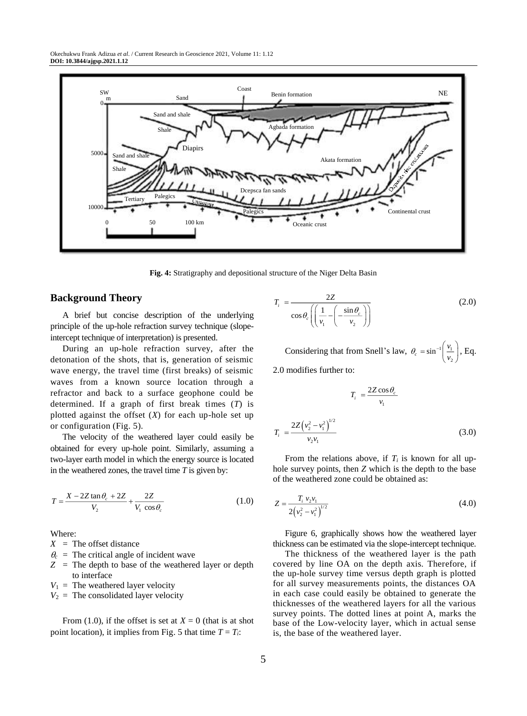

**Fig. 4:** Stratigraphy and depositional structure of the Niger Delta Basin

*i T*

#### **Background Theory**

A brief but concise description of the underlying principle of the up-hole refraction survey technique (slopeintercept technique of interpretation) is presented.

During an up-hole refraction survey, after the detonation of the shots, that is, generation of seismic wave energy, the travel time (first breaks) of seismic waves from a known source location through a refractor and back to a surface geophone could be determined. If a graph of first break times (*T*) is plotted against the offset  $(X)$  for each up-hole set up or configuration (Fig. 5).

The velocity of the weathered layer could easily be obtained for every up-hole point. Similarly, assuming a two-layer earth model in which the energy source is located in the weathered zones, the travel time *T* is given by:

$$
T = \frac{X - 2Z \tan \theta_c + 2Z}{V_2} + \frac{2Z}{V_1 \cos \theta_c}
$$
 (1.0)

Where:

 $X =$ The offset distance

- $\theta_c$  = The critical angle of incident wave
- *Z* = The depth to base of the weathered layer or depth to interface
- $V_1$  = The weathered layer velocity
- $V_2$  = The consolidated layer velocity

From (1.0), if the offset is set at  $X = 0$  (that is at shot point location), it implies from Fig. 5 that time  $T = T_i$ :

$$
T_i = \frac{2Z}{\cos \theta_c \left( \left( \frac{1}{v_1} - \left( -\frac{\sin \theta_c}{v_2} \right) \right)} \tag{2.0}
$$

Considering that from Snell's law,  $\theta_c = \sin^{-1} \left| \frac{v_1}{v_2} \right|$ 2  $\theta_c = \sin^{-1}\left(\frac{v_1}{v_2}\right)$ , Eq.

2.0 modifies further to:

$$
T_i = \frac{2Z \cos \theta_c}{v_1}
$$

$$
= \frac{2Z (v_2^2 - v_1^2)^{1/2}}{v_2 v_1}
$$
(3.0)

From the relations above, if  $T_i$  is known for all uphole survey points, then *Z* which is the depth to the base of the weathered zone could be obtained as:

$$
Z = \frac{T_i v_2 v_1}{2(v_2^2 - v_1^2)^{1/2}}
$$
(4.0)

Figure 6, graphically shows how the weathered layer thickness can be estimated via the slope-intercept technique.

The thickness of the weathered layer is the path covered by line OA on the depth axis. Therefore, if the up-hole survey time versus depth graph is plotted for all survey measurements points, the distances OA in each case could easily be obtained to generate the thicknesses of the weathered layers for all the various survey points. The dotted lines at point A, marks the base of the Low-velocity layer, which in actual sense is, the base of the weathered layer.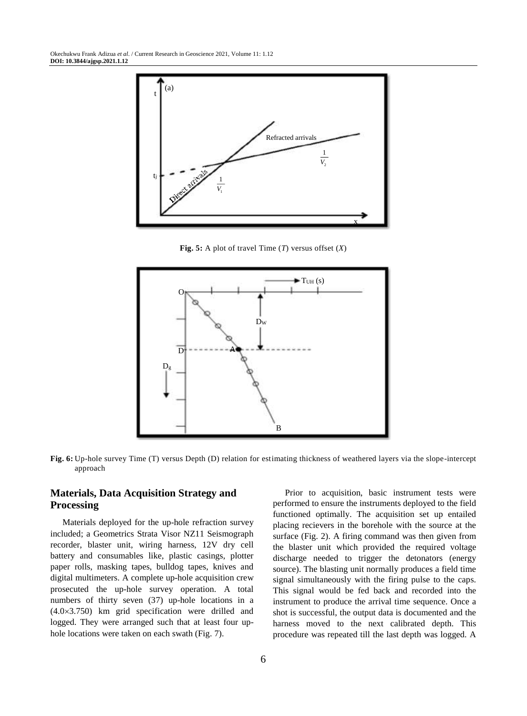Okechukwu Frank Adizua *et al*. / Current Research in Geoscience 2021, Volume 11: 1.12 **DOI: 10.3844/ajgsp.2021.1.12**



**Fig. 5:** A plot of travel Time  $(T)$  versus offset  $(X)$ 



**Fig. 6:** Up-hole survey Time (T) versus Depth (D) relation for estimating thickness of weathered layers via the slope-intercept approach

## **Materials, Data Acquisition Strategy and Processing**

Materials deployed for the up-hole refraction survey included; a Geometrics Strata Visor NZ11 Seismograph recorder, blaster unit, wiring harness, 12V dry cell battery and consumables like, plastic casings, plotter paper rolls, masking tapes, bulldog tapes, knives and digital multimeters. A complete up-hole acquisition crew prosecuted the up-hole survey operation. A total numbers of thirty seven (37) up-hole locations in a (4.03.750) km grid specification were drilled and logged. They were arranged such that at least four uphole locations were taken on each swath (Fig. 7).

Prior to acquisition, basic instrument tests were performed to ensure the instruments deployed to the field functioned optimally. The acquisition set up entailed placing recievers in the borehole with the source at the surface (Fig. 2). A firing command was then given from the blaster unit which provided the required voltage discharge needed to trigger the detonators (energy source). The blasting unit normally produces a field time signal simultaneously with the firing pulse to the caps. This signal would be fed back and recorded into the instrument to produce the arrival time sequence. Once a shot is successful, the output data is documented and the harness moved to the next calibrated depth. This procedure was repeated till the last depth was logged. A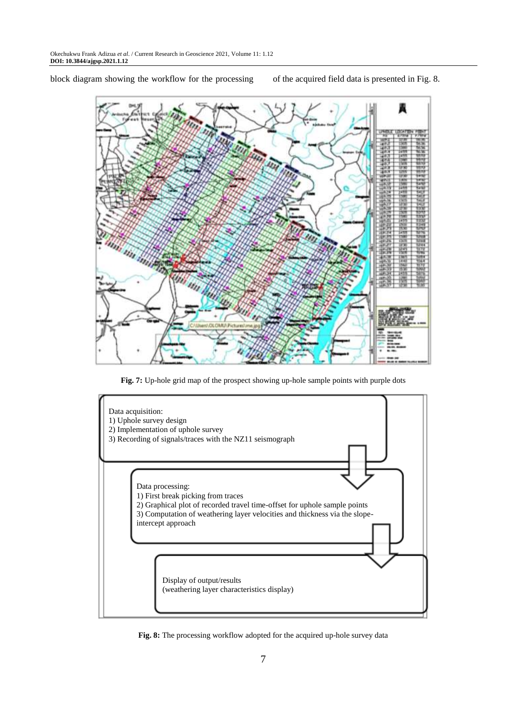block diagram showing the workflow for the processing of the acquired field data is presented in Fig. 8.



**Fig. 7:** Up-hole grid map of the prospect showing up-hole sample points with purple dots



**Fig. 8:** The processing workflow adopted for the acquired up-hole survey data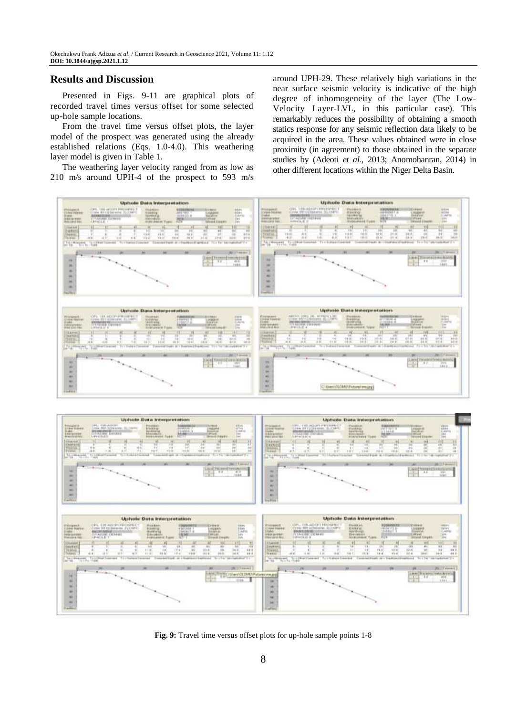### **Results and Discussion**

Presented in Figs. 9-11 are graphical plots of recorded travel times versus offset for some selected up-hole sample locations.

From the travel time versus offset plots, the layer model of the prospect was generated using the already established relations (Eqs. 1.0-4.0). This weathering layer model is given in Table 1.

The weathering layer velocity ranged from as low as 210 m/s around UPH-4 of the prospect to 593 m/s around UPH-29. These relatively high variations in the near surface seismic velocity is indicative of the high degree of inhomogeneity of the layer (The Low-Velocity Layer-LVL, in this particular case). This remarkably reduces the possibility of obtaining a smooth statics response for any seismic reflection data likely to be acquired in the area. These values obtained were in close proximity (in agreement) to those obtained in the separate studies by (Adeoti *et al*., 2013; Anomohanran, 2014) in other different locations within the Niger Delta Basin.



**Fig. 9:** Travel time versus offset plots for up-hole sample points 1-8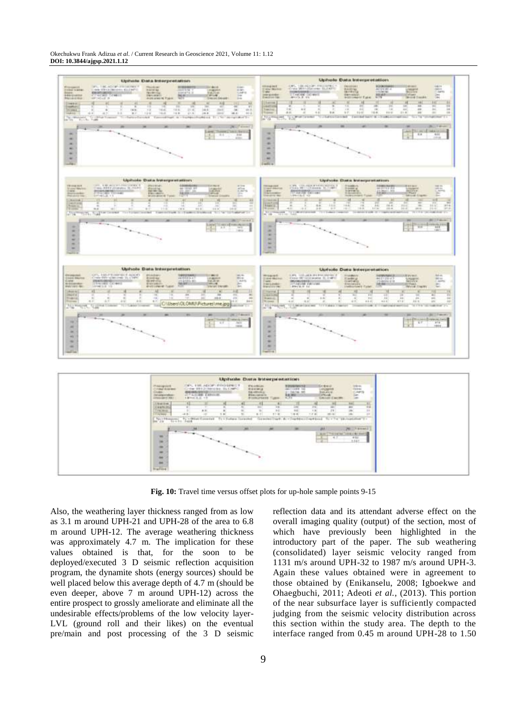Okechukwu Frank Adizua *et al*. / Current Research in Geoscience 2021, Volume 11: 1.12 **DOI: 10.3844/ajgsp.2021.1.12**



**Fig. 10:** Travel time versus offset plots for up-hole sample points 9-15

Also, the weathering layer thickness ranged from as low as 3.1 m around UPH-21 and UPH-28 of the area to 6.8 m around UPH-12. The average weathering thickness was approximately 4.7 m. The implication for these values obtained is that, for the soon to be deployed/executed 3 D seismic reflection acquisition program, the dynamite shots (energy sources) should be well placed below this average depth of 4.7 m (should be even deeper, above 7 m around UPH-12) across the entire prospect to grossly ameliorate and eliminate all the undesirable effects/problems of the low velocity layer-LVL (ground roll and their likes) on the eventual pre/main and post processing of the 3 D seismic reflection data and its attendant adverse effect on the overall imaging quality (output) of the section, most of which have previously been highlighted in the introductory part of the paper. The sub weathering (consolidated) layer seismic velocity ranged from 1131 m/s around UPH-32 to 1987 m/s around UPH-3. Again these values obtained were in agreement to those obtained by (Enikanselu, 2008; Igboekwe and Ohaegbuchi, 2011; Adeoti *et al.*, (2013). This portion of the near subsurface layer is sufficiently compacted judging from the seismic velocity distribution across this section within the study area. The depth to the interface ranged from 0.45 m around UPH-28 to 1.50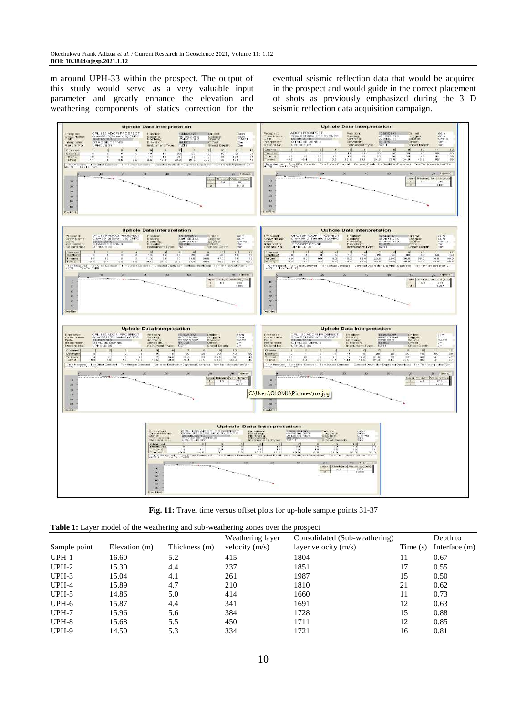m around UPH-33 within the prospect. The output of this study would serve as a very valuable input parameter and greatly enhance the elevation and weathering components of statics correction for the

eventual seismic reflection data that would be acquired in the prospect and would guide in the correct placement of shots as previously emphasized during the 3 D seismic reflection data acquisition campaign.



**Fig. 11:** Travel time versus offset plots for up-hole sample points 31-37

| <b>Table 1:</b> Layer model of the weathering and sub-weathering zones over the prospect |  |  |
|------------------------------------------------------------------------------------------|--|--|
|------------------------------------------------------------------------------------------|--|--|

|              |               | $\tilde{ }$   | Weathering layer | Consolidated (Sub-weathering) |            | Depth to      |
|--------------|---------------|---------------|------------------|-------------------------------|------------|---------------|
| Sample point | Elevation (m) | Thickness (m) | velocity $(m/s)$ | layer velocity $(m/s)$        | Time $(s)$ | Interface (m) |
| $UPH-1$      | 16.60         | 5.2           | 415              | 1804                          | 11         | 0.67          |
| UPH-2        | 15.30         | 4.4           | 237              | 1851                          | 17         | 0.55          |
| $UPH-3$      | 15.04         | 4.1           | 261              | 1987                          | 15         | 0.50          |
| UPH-4        | 15.89         | 4.7           | 210              | 1810                          | 21         | 0.62          |
| UPH-5        | 14.86         | 5.0           | 414              | 1660                          | 11         | 0.73          |
| UPH-6        | 15.87         | 4.4           | 341              | 1691                          | 12         | 0.63          |
| UPH-7        | 15.96         | 5.6           | 384              | 1728                          | 15         | 0.88          |
| UPH-8        | 15.68         | 5.5           | 450              | 1711                          | 12         | 0.85          |
| UPH-9        | 14.50         | 5.3           | 334              | 1721                          | 16         | 0.81          |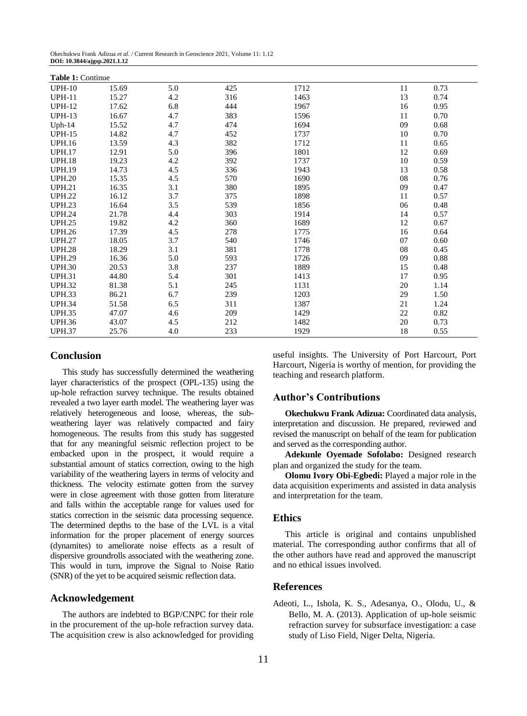| Table 1: Continue |       |     |     |      |    |      |  |  |  |
|-------------------|-------|-----|-----|------|----|------|--|--|--|
| <b>UPH-10</b>     | 15.69 | 5.0 | 425 | 1712 | 11 | 0.73 |  |  |  |
| <b>UPH-11</b>     | 15.27 | 4.2 | 316 | 1463 | 13 | 0.74 |  |  |  |
| <b>UPH-12</b>     | 17.62 | 6.8 | 444 | 1967 | 16 | 0.95 |  |  |  |
| <b>UPH-13</b>     | 16.67 | 4.7 | 383 | 1596 | 11 | 0.70 |  |  |  |
| $Uph-14$          | 15.52 | 4.7 | 474 | 1694 | 09 | 0.68 |  |  |  |
| <b>UPH-15</b>     | 14.82 | 4.7 | 452 | 1737 | 10 | 0.70 |  |  |  |
| <b>UPH.16</b>     | 13.59 | 4.3 | 382 | 1712 | 11 | 0.65 |  |  |  |
| <b>UPH.17</b>     | 12.91 | 5.0 | 396 | 1801 | 12 | 0.69 |  |  |  |
| <b>UPH.18</b>     | 19.23 | 4.2 | 392 | 1737 | 10 | 0.59 |  |  |  |
| <b>UPH.19</b>     | 14.73 | 4.5 | 336 | 1943 | 13 | 0.58 |  |  |  |
| <b>UPH.20</b>     | 15.35 | 4.5 | 570 | 1690 | 08 | 0.76 |  |  |  |
| <b>UPH.21</b>     | 16.35 | 3.1 | 380 | 1895 | 09 | 0.47 |  |  |  |
| <b>UPH.22</b>     | 16.12 | 3.7 | 375 | 1898 | 11 | 0.57 |  |  |  |
| <b>UPH.23</b>     | 16.64 | 3.5 | 539 | 1856 | 06 | 0.48 |  |  |  |
| <b>UPH.24</b>     | 21.78 | 4.4 | 303 | 1914 | 14 | 0.57 |  |  |  |
| <b>UPH.25</b>     | 19.82 | 4.2 | 360 | 1689 | 12 | 0.67 |  |  |  |
| <b>UPH.26</b>     | 17.39 | 4.5 | 278 | 1775 | 16 | 0.64 |  |  |  |
| <b>UPH.27</b>     | 18.05 | 3.7 | 540 | 1746 | 07 | 0.60 |  |  |  |
| <b>UPH.28</b>     | 18.29 | 3.1 | 381 | 1778 | 08 | 0.45 |  |  |  |
| <b>UPH.29</b>     | 16.36 | 5.0 | 593 | 1726 | 09 | 0.88 |  |  |  |
| <b>UPH.30</b>     | 20.53 | 3.8 | 237 | 1889 | 15 | 0.48 |  |  |  |
| <b>UPH.31</b>     | 44.80 | 5.4 | 301 | 1413 | 17 | 0.95 |  |  |  |
| <b>UPH.32</b>     | 81.38 | 5.1 | 245 | 1131 | 20 | 1.14 |  |  |  |
| <b>UPH.33</b>     | 86.21 | 6.7 | 239 | 1203 | 29 | 1.50 |  |  |  |
| <b>UPH.34</b>     | 51.58 | 6.5 | 311 | 1387 | 21 | 1.24 |  |  |  |
| <b>UPH.35</b>     | 47.07 | 4.6 | 209 | 1429 | 22 | 0.82 |  |  |  |
| <b>UPH.36</b>     | 43.07 | 4.5 | 212 | 1482 | 20 | 0.73 |  |  |  |
| <b>UPH.37</b>     | 25.76 | 4.0 | 233 | 1929 | 18 | 0.55 |  |  |  |

#### **Conclusion**

This study has successfully determined the weathering layer characteristics of the prospect (OPL-135) using the up-hole refraction survey technique. The results obtained revealed a two layer earth model. The weathering layer was relatively heterogeneous and loose, whereas, the subweathering layer was relatively compacted and fairy homogeneous. The results from this study has suggested that for any meaningful seismic reflection project to be embacked upon in the prospect, it would require a substantial amount of statics correction, owing to the high variability of the weathering layers in terms of velocity and thickness. The velocity estimate gotten from the survey were in close agreement with those gotten from literature and falls within the acceptable range for values used for statics correction in the seismic data processing sequence. The determined depths to the base of the LVL is a vital information for the proper placement of energy sources (dynamites) to ameliorate noise effects as a result of dispersive groundrolls associated with the weathering zone. This would in turn, improve the Signal to Noise Ratio (SNR) of the yet to be acquired seismic reflection data.

#### **Acknowledgement**

The authors are indebted to BGP/CNPC for their role in the procurement of the up-hole refraction survey data. The acquisition crew is also acknowledged for providing useful insights. The University of Port Harcourt, Port Harcourt, Nigeria is worthy of mention, for providing the teaching and research platform.

#### **Author's Contributions**

**Okechukwu Frank Adizua:** Coordinated data analysis, interpretation and discussion. He prepared, reviewed and revised the manuscript on behalf of the team for publication and served as the corresponding author.

**Adekunle Oyemade Sofolabo:** Designed research plan and organized the study for the team.

**Olomu Ivory Obi-Egbedi:** Played a major role in the data acquisition experiments and assisted in data analysis and interpretation for the team.

#### **Ethics**

This article is original and contains unpublished material. The corresponding author confirms that all of the other authors have read and approved the manuscript and no ethical issues involved.

#### **References**

Adeoti, L., Ishola, K. S., Adesanya, O., Olodu, U., & Bello, M. A. (2013). Application of up-hole seismic refraction survey for subsurface investigation: a case study of Liso Field, Niger Delta, Nigeria.